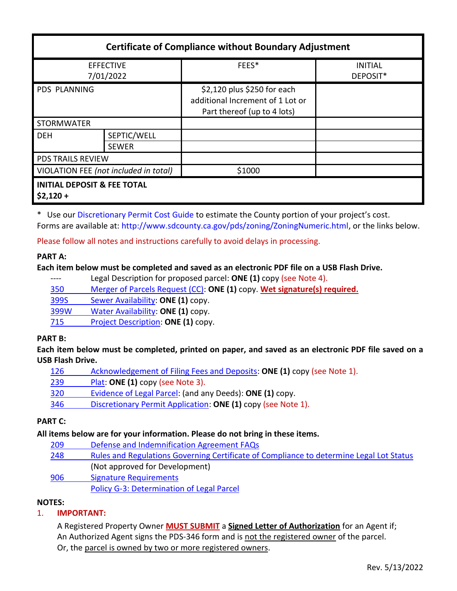| <b>Certificate of Compliance without Boundary Adjustment</b> |                             |                                                                                                |                            |
|--------------------------------------------------------------|-----------------------------|------------------------------------------------------------------------------------------------|----------------------------|
| <b>EFFECTIVE</b><br>7/01/2022                                |                             | FEES*                                                                                          | <b>INITIAL</b><br>DEPOSIT* |
| <b>PDS PLANNING</b>                                          |                             | \$2,120 plus \$250 for each<br>additional Increment of 1 Lot or<br>Part thereof (up to 4 lots) |                            |
| <b>STORMWATER</b>                                            |                             |                                                                                                |                            |
| <b>DEH</b>                                                   | SEPTIC/WELL<br><b>SEWER</b> |                                                                                                |                            |
| <b>PDS TRAILS REVIEW</b>                                     |                             |                                                                                                |                            |
| VIOLATION FEE (not included in total)                        |                             | \$1000                                                                                         |                            |
| <b>INITIAL DEPOSIT &amp; FEE TOTAL</b><br>$$2,120+$          |                             |                                                                                                |                            |

\* Use ou[r Discretionary Permit Cost Guide](http://www.sandiegocounty.gov/content/dam/sdc/pds/docs/Discretionary_Permit_Cost_Guide.xlsx) to estimate the County portion of your project's cost. Forms are available at[: http://www.sdcounty.ca.gov/pds/zoning/ZoningNumeric.html,](http://www.sdcounty.ca.gov/pds/zoning/ZoningNumeric.html) or the links below.

Please follow all notes and instructions carefully to avoid delays in processing.

### **PART A:**

#### **Each item below must be completed and saved as an electronic PDF file on a USB Flash Drive.**

---- Legal Description for proposed parcel: **ONE (1)** copy (see Note 4).

350 [Merger of Parcels Request \(CC\):](http://www.sdcounty.ca.gov/pds/zoning/formfields/PDS-PLN-350.pdf) **ONE (1)** copy. **Wet signature(s) required.**

399S Sewer [Availability:](http://www.sdcounty.ca.gov/pds/zoning/formfields/PDS-PLN-399S.pdf) **ONE (1)** copy.

399W [Water Availability:](http://www.sdcounty.ca.gov/pds/zoning/formfields/PDS-PLN-399W.pdf) **ONE (1)** copy.

715 [Project Description:](http://www.sdcounty.ca.gov/pds/zoning/formfields/PDS-PLN-715.pdf) **ONE (1)** copy.

#### **PART B:**

**Each item below must be completed, printed on paper, and saved as an electronic PDF file saved on a USB Flash Drive.**

| 126 | Acknowledgement of Filing Fees and Deposits: ONE (1) copy (see Note 1).                                                                                 |
|-----|---------------------------------------------------------------------------------------------------------------------------------------------------------|
| 230 | $D_1$ $\rightarrow$ $D_2$ $\rightarrow$ $D_3$ $\rightarrow$ $D_4$ $\rightarrow$ $D_5$ $D_6$ $D_7$ $D_8$ $D_9$ $D_9$ $D_1$ $D_2$ $D_3$ $D_4$ $D_5$ $D_7$ |

- 239 [Plat:](http://www.sdcounty.ca.gov/pds/zoning/formfields/PDS-239.pdf) **ONE (1)** copy (see Note 3).
- 320 [Evidence of Legal Parcel:](http://www.sdcounty.ca.gov/pds/zoning/formfields/PDS-PLN-320.pdf) (and any Deeds): **ONE (1)** copy.
- 346 [Discretionary Permit Application:](http://www.sdcounty.ca.gov/pds/zoning/formfields/PDS-PLN-346.pdf) **ONE (1)** copy (see Note 1).

### **PART C:**

#### **All items below are for your information. Please do not bring in these items.**

- 209 [Defense and Indemnification Agreement FAQs](http://www.sdcounty.ca.gov/pds/zoning/formfields/PDS-PLN-209.pdf)
- 248 [Rules and Regulations Governing Certificate of Compliance to determine Legal Lot Status](http://www.sdcounty.ca.gov/pds/zoning/formfields/PDS-PLN-248.pdf)  (Not approved for Development)
- [906 Signature Requirements](http://www.sdcounty.ca.gov/pds/zoning/formfields/PDS-PLN-906.pdf)

# Policy G-3: [Determination of Legal Parcel](http://www.sdcounty.ca.gov/pds/zoning/formfields/POLICY-G-3.pdf)

### **NOTES:**

### 1. **IMPORTANT:**

A Registered Property Owner **MUST SUBMIT** a **Signed Letter of Authorization** for an Agent if; An Authorized Agent signs the PDS-346 form and is not the registered owner of the parcel. Or, the parcel is owned by two or more registered owners.